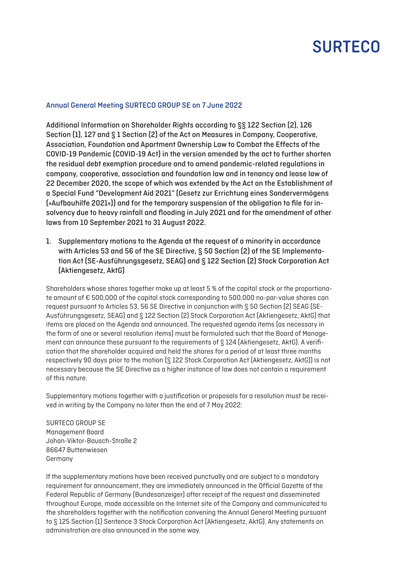# **SURTECO**

#### Annual General Meeting SURTECO GROUP SE on 7 June 2022

Additional Information on Shareholder Rights according to §§ 122 Section (2), 126 Section (1), 127 and § 1 Section (2) of the Act on Measures in Company, Cooperative, Association, Foundation and Apartment Ownership Law to Combat the Effects of the COVID-19 Pandemic (COVID-19 Act) in the version amended by the act to further shorten the residual debt exemption procedure and to amend pandemic-related regulations in company, cooperative, association and foundation law and in tenancy and lease law of 22 December 2020, the scope of which was extended by the Act on the Establishment of a Special Fund "Development Aid 2021" (Gesetz zur Errichtung eines Sondervermögens (»Aufbauhilfe 2021«)) and for the temporary suspension of the obligation to file for insolvency due to heavy rainfall and flooding in July 2021 and for the amendment of other laws from 10 September 2021 to 31 August 2022.

1. Supplementary motions to the Agenda at the request of a minority in accordance with Articles 53 and 56 of the SE Directive, § 50 Section (2) of the SE Implementation Act (SE-Ausführungsgesetz, SEAG) and § 122 Section (2) Stock Corporation Act (Aktiengesetz, AktG)

Shareholders whose shares together make up at least 5 % of the capital stock or the proportionate amount of € 500,000 of the capital stock corresponding to 500,000 no-par-value shares can request pursuant to Articles 53, 56 SE Directive in conjunction with § 50 Section (2) SEAG (SE-Ausführungsgesetz, SEAG) and § 122 Section (2) Stock Corporation Act (Aktiengesetz, AktG) that items are placed on the Agenda and announced. The requested agenda items (as necessary in the form of one or several resolution items) must be formulated such that the Board of Management can announce these pursuant to the requirements of § 124 (Aktiengesetz, AktG). A verification that the shareholder acquired and held the shares for a period of at least three months respectively 90 days prior to the motion (§ 122 Stock Corporation Act (Aktiengesetz, AktG)) is not necessary because the SE Directive as a higher instance of law does not contain a requirement of this nature.

Supplementary motions together with a justification or proposals for a resolution must be received in writing by the Company no later than the end of 7 May 2022:

SURTECO GROUP SE Management Board Johan-Viktor-Bausch-Straße 2 86647 Buttenwiesen Germany

If the supplementary motions have been received punctually and are subject to a mandatory requirement for announcement, they are immediately announced in the Official Gazette of the Federal Republic of Germany (Bundesanzeiger) after receipt of the request and disseminated throughout Europe, made accessible on the Internet site of the Company and communicated to the shareholders together with the notification convening the Annual General Meeting pursuant to § 125 Section (1) Sentence 3 Stock Corporation Act (Aktiengesetz, AktG). Any statements on administration are also announced in the same way.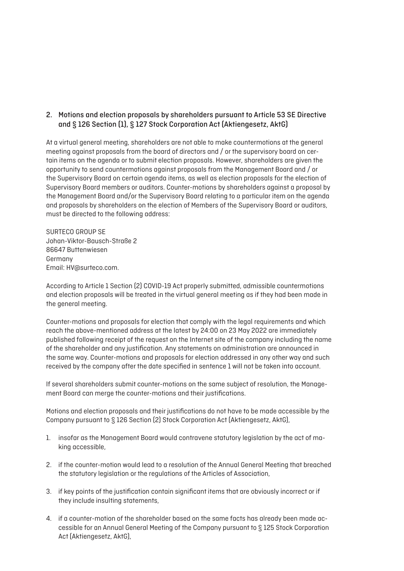### 2. Motions and election proposals by shareholders pursuant to Article 53 SE Directive and § 126 Section (1), § 127 Stock Corporation Act (Aktiengesetz, AktG)

At a virtual general meeting, shareholders are not able to make countermotions at the general meeting against proposals from the board of directors and / or the supervisory board on certain items on the agenda or to submit election proposals. However, shareholders are given the opportunity to send countermotions against proposals from the Management Board and / or the Supervisory Board on certain agenda items, as well as election proposals for the election of Supervisory Board members or auditors. Counter-motions by shareholders against a proposal by the Management Board and/or the Supervisory Board relating to a particular item on the agenda and proposals by shareholders on the election of Members of the Supervisory Board or auditors, must be directed to the following address:

SURTECO GROUP SE Johan-Viktor-Bausch-Straße 2 86647 Buttenwiesen Germany Email: HV@surteco.com.

According to Article 1 Section (2) COVID-19 Act properly submitted, admissible countermotions and election proposals will be treated in the virtual general meeting as if they had been made in the general meeting.

Counter-motions and proposals for election that comply with the legal requirements and which reach the above-mentioned address at the latest by 24:00 on 23 May 2022 are immediately published following receipt of the request on the Internet site of the company including the name of the shareholder and any justification. Any statements on administration are announced in the same way. Counter-motions and proposals for election addressed in any other way and such received by the company after the date specified in sentence 1 will not be taken into account.

If several shareholders submit counter-motions on the same subject of resolution, the Management Board can merge the counter-motions and their justifications.

Motions and election proposals and their justifications do not have to be made accessible by the Company pursuant to § 126 Section (2) Stock Corporation Act (Aktiengesetz, AktG),

- 1. insofar as the Management Board would contravene statutory legislation by the act of making accessible,
- 2. if the counter-motion would lead to a resolution of the Annual General Meeting that breached the statutory legislation or the regulations of the Articles of Association,
- 3. if key points of the justification contain significant items that are obviously incorrect or if they include insulting statements,
- 4. if a counter-motion of the shareholder based on the same facts has already been made accessible for an Annual General Meeting of the Company pursuant to § 125 Stock Corporation Act (Aktiengesetz, AktG),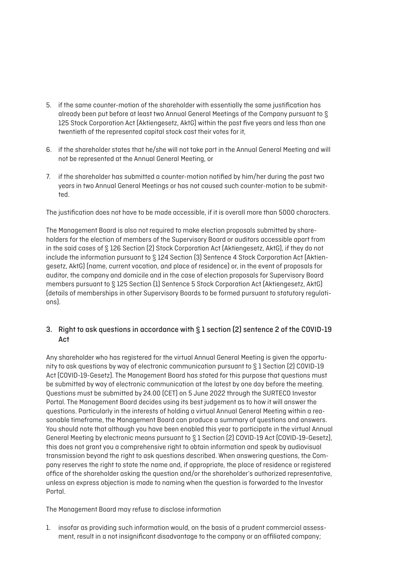- 5. if the same counter-motion of the shareholder with essentially the same justification has already been put before at least two Annual General Meetings of the Company pursuant to § 125 Stock Corporation Act (Aktiengesetz, AktG) within the past five years and less than one twentieth of the represented capital stock cast their votes for it,
- 6. if the shareholder states that he/she will not take part in the Annual General Meeting and will not be represented at the Annual General Meeting, or
- 7. if the shareholder has submitted a counter-motion notified by him/her during the past two years in two Annual General Meetings or has not caused such counter-motion to be submitted.

The justification does not have to be made accessible, if it is overall more than 5000 characters.

The Management Board is also not required to make election proposals submitted by shareholders for the election of members of the Supervisory Board or auditors accessible apart from in the said cases of § 126 Section (2) Stock Corporation Act (Aktiengesetz, AktG), if they do not include the information pursuant to § 124 Section (3) Sentence 4 Stock Corporation Act (Aktiengesetz, AktG) (name, current vocation, and place of residence) or, in the event of proposals for auditor, the company and domicile and in the case of election proposals for Supervisory Board members pursuant to § 125 Section (1) Sentence 5 Stock Corporation Act (Aktiengesetz, AktG) (details of memberships in other Supervisory Boards to be formed pursuant to statutory regulations).

## 3. Right to ask questions in accordance with § 1 section (2) sentence 2 of the COVID-19 Act

Any shareholder who has registered for the virtual Annual General Meeting is given the opportunity to ask questions by way of electronic communication pursuant to § 1 Section (2) COVID-19 Act (COVID-19-Gesetz). The Management Board has stated for this purpose that questions must be submitted by way of electronic communication at the latest by one day before the meeting. Questions must be submitted by 24.00 (CET) on 5 June 2022 through the SURTECO Investor Portal. The Management Board decides using its best judgement as to how it will answer the questions. Particularly in the interests of holding a virtual Annual General Meeting within a reasonable timeframe, the Management Board can produce a summary of questions and answers. You should note that although you have been enabled this year to participate in the virtual Annual General Meeting by electronic means pursuant to § 1 Section (2) COVID-19 Act (COVID-19-Gesetz), this does not grant you a comprehensive right to obtain information and speak by audiovisual transmission beyond the right to ask questions described. When answering questions, the Company reserves the right to state the name and, if appropriate, the place of residence or registered office of the shareholder asking the question and/or the shareholder's authorized representative, unless an express objection is made to naming when the question is forwarded to the Investor Portal.

The Management Board may refuse to disclose information

1. insofar as providing such information would, on the basis of a prudent commercial assessment, result in a not insignificant disadvantage to the company or an affiliated company;